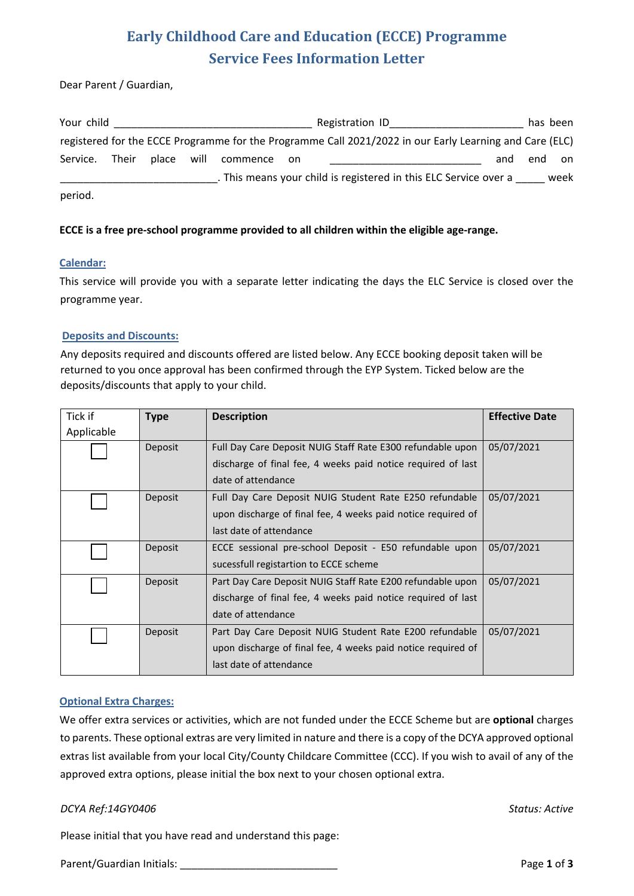# **Early Childhood Care and Education (ECCE) Programme Service Fees Information Letter**

Dear Parent / Guardian,

| Your child |       |            |          |       | Registration ID                                                                                         |     | has been |      |
|------------|-------|------------|----------|-------|---------------------------------------------------------------------------------------------------------|-----|----------|------|
|            |       |            |          |       | registered for the ECCE Programme for the Programme Call 2021/2022 in our Early Learning and Care (ELC) |     |          |      |
| Service.   | Their | place will | commence | on on |                                                                                                         | and | end      | on   |
|            |       |            |          |       | . This means your child is registered in this ELC Service over a                                        |     |          | week |
| period.    |       |            |          |       |                                                                                                         |     |          |      |

### **ECCE is a free pre-school programme provided to all children within the eligible age-range.**

#### **Calendar:**

This service will provide you with a separate letter indicating the days the ELC Service is closed over the programme year.

#### **Deposits and Discounts:**

Any deposits required and discounts offered are listed below. Any ECCE booking deposit taken will be returned to you once approval has been confirmed through the EYP System. Ticked below are the deposits/discounts that apply to your child.

| Tick if    | <b>Type</b> | <b>Description</b>                                                                                                         | <b>Effective Date</b> |
|------------|-------------|----------------------------------------------------------------------------------------------------------------------------|-----------------------|
| Applicable |             |                                                                                                                            |                       |
|            | Deposit     | Full Day Care Deposit NUIG Staff Rate E300 refundable upon<br>discharge of final fee, 4 weeks paid notice required of last | 05/07/2021            |
|            |             | date of attendance                                                                                                         |                       |
|            | Deposit     | Full Day Care Deposit NUIG Student Rate E250 refundable                                                                    | 05/07/2021            |
|            |             | upon discharge of final fee, 4 weeks paid notice required of                                                               |                       |
|            |             | last date of attendance                                                                                                    |                       |
|            | Deposit     | ECCE sessional pre-school Deposit - E50 refundable upon                                                                    | 05/07/2021            |
|            |             | sucessfull registartion to ECCE scheme                                                                                     |                       |
|            | Deposit     | Part Day Care Deposit NUIG Staff Rate E200 refundable upon                                                                 | 05/07/2021            |
|            |             | discharge of final fee, 4 weeks paid notice required of last                                                               |                       |
|            |             | date of attendance                                                                                                         |                       |
|            | Deposit     | Part Day Care Deposit NUIG Student Rate E200 refundable                                                                    | 05/07/2021            |
|            |             | upon discharge of final fee, 4 weeks paid notice required of                                                               |                       |
|            |             | last date of attendance                                                                                                    |                       |

#### **Optional Extra Charges:**

We offer extra services or activities, which are not funded under the ECCE Scheme but are **optional** charges to parents. These optional extras are very limited in nature and there is a copy of the DCYA approved optional extras list available from your local City/County Childcare Committee (CCC). If you wish to avail of any of the approved extra options, please initial the box next to your chosen optional extra.

#### *DCYA Ref:14GY0406 Status: Active*

Please initial that you have read and understand this page:

Parent/Guardian Initials: \_\_\_\_\_\_\_\_\_\_\_\_\_\_\_\_\_\_\_\_\_\_\_\_\_\_\_ Page **1** of **3**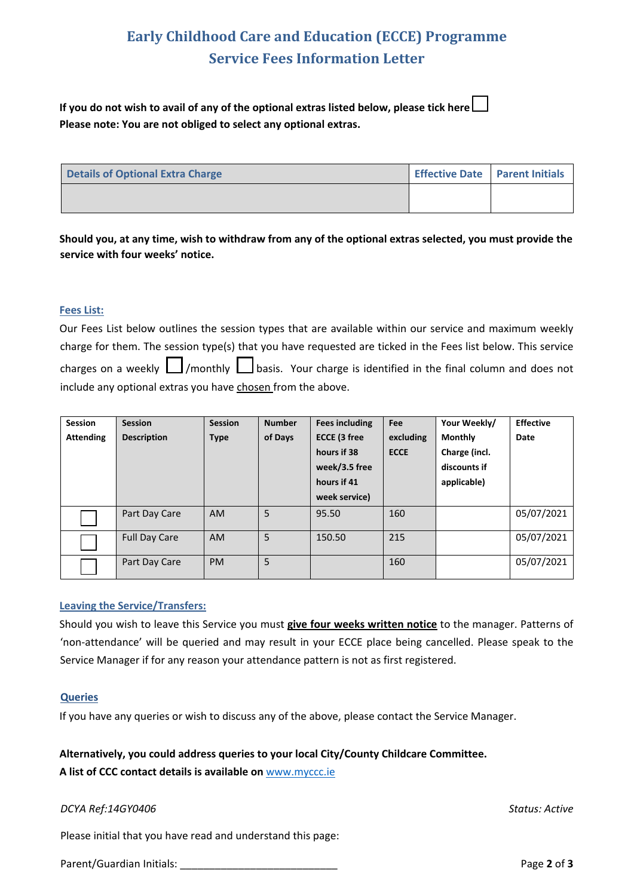# **Early Childhood Care and Education (ECCE) Programme Service Fees Information Letter**

**If you do not wish to avail of any of the optional extras listed below, please tick here Please note: You are not obliged to select any optional extras.** 

| Details of Optional Extra Charge | Effective Date   Parent Initials |  |
|----------------------------------|----------------------------------|--|
|                                  |                                  |  |

**Should you, at any time, wish to withdraw from any of the optional extras selected, you must provide the service with four weeks' notice.**

#### **Fees List:**

Our Fees List below outlines the session types that are available within our service and maximum weekly charge for them. The session type(s) that you have requested are ticked in the Fees list below. This service charges on a weekly  $\Box$ /monthly  $\Box$ basis. Your charge is identified in the final column and does not include any optional extras you have chosen from the above.

| <b>Session</b>   | <b>Session</b>       | <b>Session</b> | <b>Number</b> | <b>Fees including</b> | Fee         | Your Weekly/   | <b>Effective</b> |
|------------------|----------------------|----------------|---------------|-----------------------|-------------|----------------|------------------|
| <b>Attending</b> | <b>Description</b>   | <b>Type</b>    | of Days       | ECCE (3 free          | excluding   | <b>Monthly</b> | Date             |
|                  |                      |                |               | hours if 38           | <b>ECCE</b> | Charge (incl.  |                  |
|                  |                      |                |               | week/3.5 free         |             | discounts if   |                  |
|                  |                      |                |               | hours if 41           |             | applicable)    |                  |
|                  |                      |                |               | week service)         |             |                |                  |
|                  | Part Day Care        | <b>AM</b>      | 5             | 95.50                 | 160         |                | 05/07/2021       |
|                  | <b>Full Day Care</b> | <b>AM</b>      | 5             | 150.50                | 215         |                | 05/07/2021       |
|                  | Part Day Care        | <b>PM</b>      | 5             |                       | 160         |                | 05/07/2021       |

#### **Leaving the Service/Transfers:**

Should you wish to leave this Service you must **give four weeks written notice** to the manager. Patterns of 'non-attendance' will be queried and may result in your ECCE place being cancelled. Please speak to the Service Manager if for any reason your attendance pattern is not as first registered.

#### **Queries**

If you have any queries or wish to discuss any of the above, please contact the Service Manager.

#### **Alternatively, you could address queries to your local City/County Childcare Committee.**

**A list of CCC contact details is available on** www.myccc.ie

#### *DCYA Ref:14GY0406 Status: Active*

Please initial that you have read and understand this page:

Parent/Guardian Initials: **Parent/Guardian Initials: Page 2** of **3**